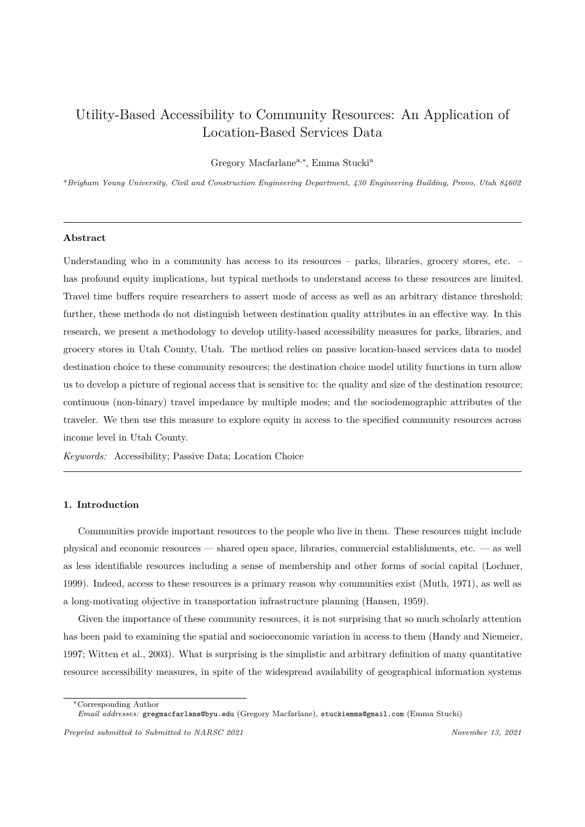# Utility-Based Accessibility to Community Resources: An Application of Location-Based Services Data

Gregory Macfarlanea,*<sup>∗</sup>* , Emma Stucki<sup>a</sup>

*<sup>a</sup>Brigham Young University, Civil and Construction Engineering Department, 430 Engineering Building, Provo, Utah 84602*

## **Abstract**

Understanding who in a community has access to its resources – parks, libraries, grocery stores, etc. – has profound equity implications, but typical methods to understand access to these resources are limited. Travel time buffers require researchers to assert mode of access as well as an arbitrary distance threshold; further, these methods do not distinguish between destination quality attributes in an effective way. In this research, we present a methodology to develop utility-based accessibility measures for parks, libraries, and grocery stores in Utah County, Utah. The method relies on passive location-based services data to model destination choice to these community resources; the destination choice model utility functions in turn allow us to develop a picture of regional access that is sensitive to: the quality and size of the destination resource; continuous (non-binary) travel impedance by multiple modes; and the sociodemographic attributes of the traveler. We then use this measure to explore equity in access to the specified community resources across income level in Utah County.

*Keywords:* Accessibility; Passive Data; Location Choice

#### **1. Introduction**

Communities provide important resources to the people who live in them. These resources might include physical and economic resources — shared open space, libraries, commercial establishments, etc. — as well as less identifiable resources including a sense of membership and other forms of social capital (Lochner, 1999). Indeed, access to these resources is a primary reason why communities exist (Muth, 1971), as well as a long-motivating objective in transportation infrastructure planning (Hansen, 1959).

Given the importance of these community resources, it is not surprising that so much scholarly [attention](#page-17-0) [has b](#page-17-0)een paid to examining the spatial and socioeconomic variation in access to the[m \(Handy an](#page-18-0)d Niemeier, 1997; Witten et al., 2003). What is surprising is the simplistic and arbi[trary definitio](#page-17-1)n of many quantitative resource accessibility measures, in spite of the widespread availability of geographical information systems

*<sup>∗</sup>*[C](#page-17-2)o[rresponding Author](#page-19-0)

*Email addresses:* gregmacfarlane@byu.edu (Gregory Macfarlane), stuckiemma@gmail.com (Emma Stucki)

*Preprint submitted to Submitted to NARSC 2021 November 13, 2021*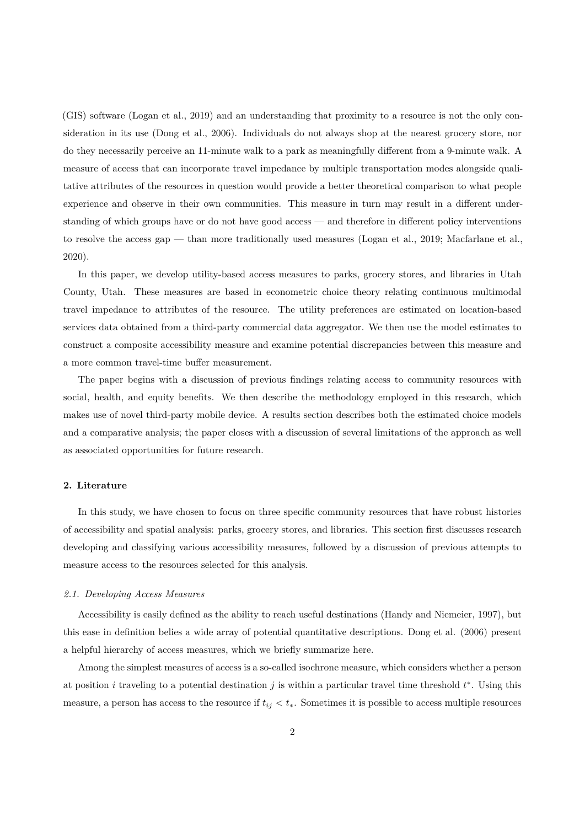(GIS) software (Logan et al., 2019) and an understanding that proximity to a resource is not the only consideration in its use (Dong et al., 2006). Individuals do not always shop at the nearest grocery store, nor do they necessarily perceive an 11-minute walk to a park as meaningfully different from a 9-minute walk. A measure of acce[ss that can incorpo](#page-17-3)rate travel impedance by multiple transportation modes alongside qualitative attributes of t[he resources in que](#page-17-4)stion would provide a better theoretical comparison to what people experience and observe in their own communities. This measure in turn may result in a different understanding of which groups have or do not have good access — and therefore in different policy interventions to resolve the access gap — than more traditionally used measures (Logan et al., 2019; Macfarlane et al., 2020).

In this paper, we develop utility-based access measures to parks, grocery stores, and libraries in Utah County, Utah. These measures are based in econometric choice t[heory relating cont](#page-17-3)i[nuous multimodal](#page-17-5) [trave](#page-17-5)l impedance to attributes of the resource. The utility preferences are estimated on location-based services data obtained from a third-party commercial data aggregator. We then use the model estimates to construct a composite accessibility measure and examine potential discrepancies between this measure and a more common travel-time buffer measurement.

The paper begins with a discussion of previous findings relating access to community resources with social, health, and equity benefits. We then describe the methodology employed in this research, which makes use of novel third-party mobile device. A results section describes both the estimated choice models and a comparative analysis; the paper closes with a discussion of several limitations of the approach as well as associated opportunities for future research.

## **2. Literature**

In this study, we have chosen to focus on three specific community resources that have robust histories of accessibility and spatial analysis: parks, grocery stores, and libraries. This section first discusses research developing and classifying various accessibility measures, followed by a discussion of previous attempts to measure access to the resources selected for this analysis.

#### *2.1. Developing Access Measures*

Accessibility is easily defined as the ability to reach useful destinations (Handy and Niemeier, 1997), but this ease in definition belies a wide array of potential quantitative descriptions. Dong et al. (2006) present a helpful hierarchy of access measures, which we briefly summarize here.

Among the simplest measures of access is a so-called isochrone measure, [which considers whether a p](#page-17-2)erson at position *i* traveling to a potential destination *j* is within a particular travel ti[me threshold](#page-17-4) *t ∗* [. U](#page-17-4)sing this measure, a person has access to the resource if  $t_{ij} < t_*$ . Sometimes it is possible to access multiple resources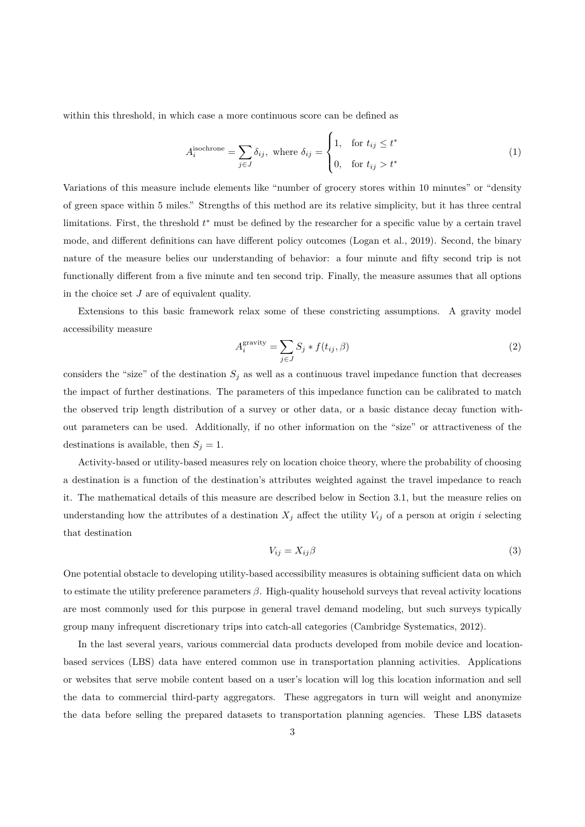within this threshold, in which case a more continuous score can be defined as

$$
A_i^{\text{isochrone}} = \sum_{j \in J} \delta_{ij}, \text{ where } \delta_{ij} = \begin{cases} 1, & \text{for } t_{ij} \le t^* \\ 0, & \text{for } t_{ij} > t^* \end{cases} \tag{1}
$$

Variations of this measure include elements like "number of grocery stores within 10 minutes" or "density of green space within 5 miles." Strengths of this method are its relative simplicity, but it has three central limitations. First, the threshold *t ∗* must be defined by the researcher for a specific value by a certain travel mode, and different definitions can have different policy outcomes (Logan et al., 2019). Second, the binary nature of the measure belies our understanding of behavior: a four minute and fifty second trip is not functionally different from a five minute and ten second trip. Finally, the measure assumes that all options in the choice set *J* are of equivalent quality.

Extensions to this basic framework relax some of these constricting assumptions. A gravity model accessibility measure

$$
A_i^{\text{gravity}} = \sum_{j \in J} S_j * f(t_{ij}, \beta) \tag{2}
$$

considers the "size" of the destination  $S_j$  as well as a continuous travel impedance function that decreases the impact of further destinations. The parameters of this impedance function can be calibrated to match the observed trip length distribution of a survey or other data, or a basic distance decay function without parameters can be used. Additionally, if no other information on the "size" or attractiveness of the destinations is available, then  $S_j = 1$ .

Activity-based or utility-based measures rely on location choice theory, where the probability of choosing a destination is a function of the destination's attributes weighted against the travel impedance to reach it. The mathematical details of this measure are described below in Section 3.1, but the measure relies on understanding how the attributes of a destination  $X_j$  affect the utility  $V_{ij}$  of a person at origin *i* selecting that destination

$$
V_{ij} = X_{ij}\beta \tag{3}
$$

One potential obstacle to developing utility-based accessibility measures is obtaining sufficient data on which to estimate the utility preference parameters *β*. High-quality household surveys that reveal activity locations are most commonly used for this purpose in general travel demand modeling, but such surveys typically group many infrequent discretionary trips into catch-all categories (Cambridge Systematics, 2012).

In the last several years, various commercial data products developed from mobile device and locationbased services (LBS) data have entered common use in transportation planning activities. Applications or websites that serve mobile content based on a user's location wi[ll log this location information](#page-16-0) and sell the data to commercial third-party aggregators. These aggregators in turn will weight and anonymize the data before selling the prepared datasets to transportation planning agencies. These LBS datasets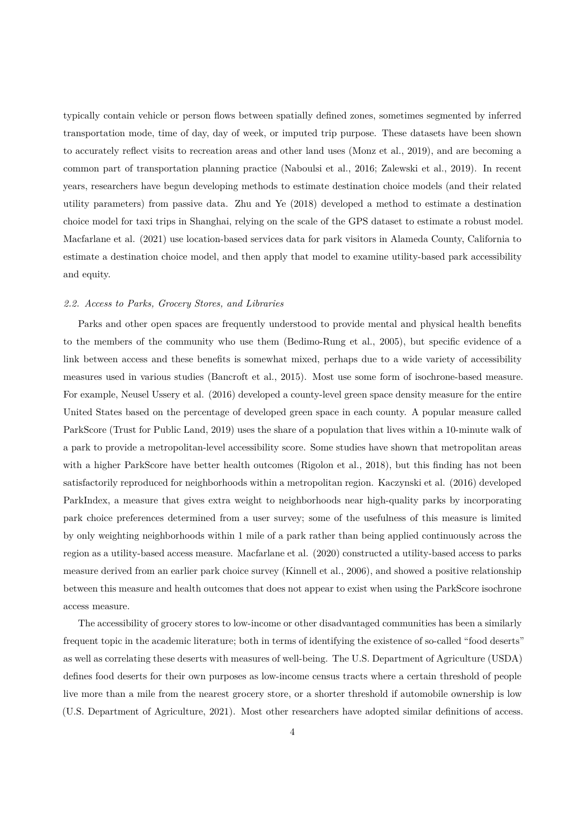typically contain vehicle or person flows between spatially defined zones, sometimes segmented by inferred transportation mode, time of day, day of week, or imputed trip purpose. These datasets have been shown to accurately reflect visits to recreation areas and other land uses (Monz et al., 2019), and are becoming a common part of transportation planning practice (Naboulsi et al., 2016; Zalewski et al., 2019). In recent years, researchers have begun developing methods to estimate destination choice models (and their related utility parameters) from passive data. Zhu and Ye (2018) develo[ped a method to e](#page-18-1)stimate a destination choice model for taxi trips in Shanghai, relying on t[he scale of the GPS d](#page-18-2)[ataset to estimate a ro](#page-19-1)bust model. Macfarlane et al. (2021) use location-based services data for park visitors in Alameda County, California to estimate a destination choice model, an[d then apply](#page-19-2) [that m](#page-19-2)odel to examine utility-based park accessibility and equity.

## *2.2. Access to Parks, Grocery Stores, and Libraries*

Parks and other open spaces are frequently understood to provide mental and physical health benefits to the members of the community who use them (Bedimo-Rung et al., 2005), but specific evidence of a link between access and these benefits is somewhat mixed, perhaps due to a wide variety of accessibility measures used in various studies (Bancroft et al., 2015). Most use some form of isochrone-based measure. For example, Neusel Ussery et al. (2016) developed [a county-level green space d](#page-16-1)ensity measure for the entire United States based on the percentage of developed green space in each county. A popular measure called ParkScore (Trust for Public Land, [2019\) uses the share o](#page-16-2)f a population that lives within a 10-minute walk of a park to pro[vide a metropolitan-](#page-18-3)l[evel a](#page-18-3)ccessibility score. Some studies have shown that metropolitan areas with a higher ParkScore have better health outcomes (Rigolon et al., 2018), but this finding has not been satisfactoril[y reproduced for neighborho](#page-18-4)ods within a metropolitan region. Kaczynski et al. (2016) developed ParkIndex, a measure that gives extra weight to neighborhoods near high-quality parks by incorporating park choice preferences determined from a user surve[y; some of the usefu](#page-18-5)lness of this measure is limited by only weighting neighborhoods within 1 mile of a park rather than bei[ng applied continuously](#page-17-6) across the region as a utility-based access measure. Macfarlane et al. (2020) constructed a utility-based access to parks measure derived from an earlier park choice survey (Kinnell et al., 2006), and showed a positive relationship between this measure and health outcomes that does not appear to exist when using the ParkScore isochrone access measure.

The accessibility of grocery stores to low-income [or other disadvantag](#page-17-7)ed communities has been a similarly frequent topic in the academic literature; both in terms of identifying the existence of so-called "food deserts" as well as correlating these deserts with measures of well-being. The U.S. Department of Agriculture (USDA) defines food deserts for their own purposes as low-income census tracts where a certain threshold of people live more than a mile from the nearest grocery store, or a shorter threshold if automobile ownership is low (U.S. Department of Agriculture, 2021). Most other researchers have adopted similar definitions of access.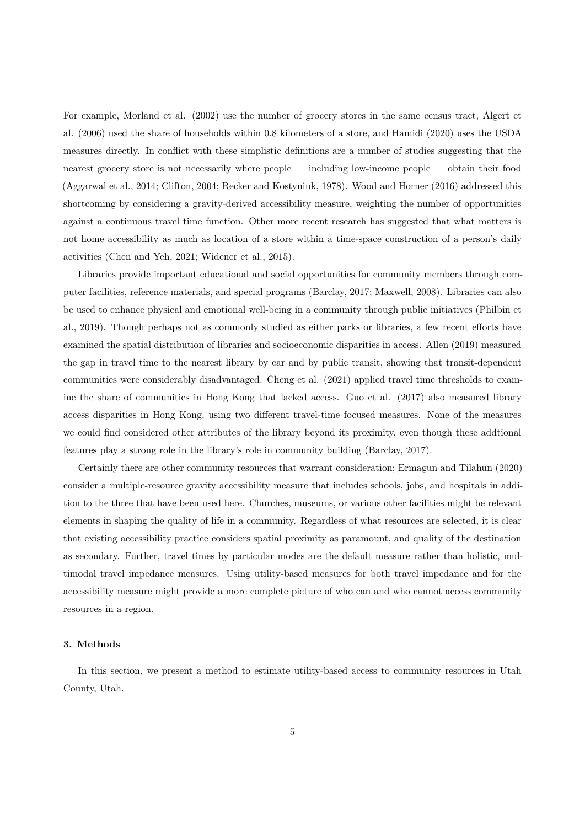For example, Morland et al. (2002) use the number of grocery stores in the same census tract, Algert et al. (2006) used the share of households within 0.8 kilometers of a store, and Hamidi (2020) uses the USDA measures directly. In conflict with these simplistic definitions are a number of studies suggesting that the nearest groce[ry store is not](#page-18-6) n[ecessa](#page-18-6)rily where people — including low-income people — obtain [their food](#page-16-3) [\(Aggarwa](#page-16-3)l et al., 2014; Clifton, 2004; Recker and Kostyniuk, 1978). Wood an[d Horne](#page-17-8)r [\(2016](#page-17-8)) addressed this shortcoming by considering a gravity-derived accessibility measure, weighting the number of opportunities against a continuous travel time function. Other more recent research has suggested that what matters is [not home accessibility](#page-16-4) [as much as l](#page-16-5)o[cation of a store within a ti](#page-18-7)m[e-space construction of a](#page-19-3) person's daily activities (Chen and Yeh, 2021; Widener et al., 2015).

Libraries provide important educational and social opportunities for community members through computer facilities, reference materials, and special programs (Barclay, 2017; Maxwell, 2008). Libraries can also be used to [enhance physical and](#page-16-6) [emotional well-being](#page-19-4) in a community through public initiatives (Philbin et al., 2019). Though perhaps not as commonly studied as either parks or libraries, a few recent efforts have examined the spatial distribution of libraries and socioeco[nomic dispariti](#page-16-7)[es in access.](#page-18-8) Allen (2019) measured the gap in travel time to the nearest library by car and by public transit, showing that transit-[dependent](#page-18-9) [commun](#page-18-9)ities were considerably disadvantaged. Cheng et al. (2021) applied travel time thresholds to examine the share of communities in Hong Kong that lacked access. Guo et al. (2017) [also measu](#page-16-8)red library access disparities in Hong Kong, using two different travel-time focused measures. None of the measures we could find considered other attributes of th[e library bey](#page-16-9)o[nd its](#page-16-9) proximity, even though these addtional features play a strong role in the library's role in community buil[ding \(Barcl](#page-17-9)a[y, 201](#page-17-9)7).

Certainly there are other community resources that warrant consideration; Ermagun and Tilahun (2020) consider a multiple-resource gravity accessibility measure that includes schools, jobs, and hospitals in addition to the three that have been used here. Churches, museums, or vari[ous other facil](#page-16-7)ities might be relevant elements in shaping the quality of life in a community. Regardless of what res[ources are selected, it i](#page-17-10)s [clear](#page-17-10) that existing accessibility practice considers spatial proximity as paramount, and quality of the destination as secondary. Further, travel times by particular modes are the default measure rather than holistic, multimodal travel impedance measures. Using utility-based measures for both travel impedance and for the accessibility measure might provide a more complete picture of who can and who cannot access community resources in a region.

## **3. Methods**

In this section, we present a method to estimate utility-based access to community resources in Utah County, Utah.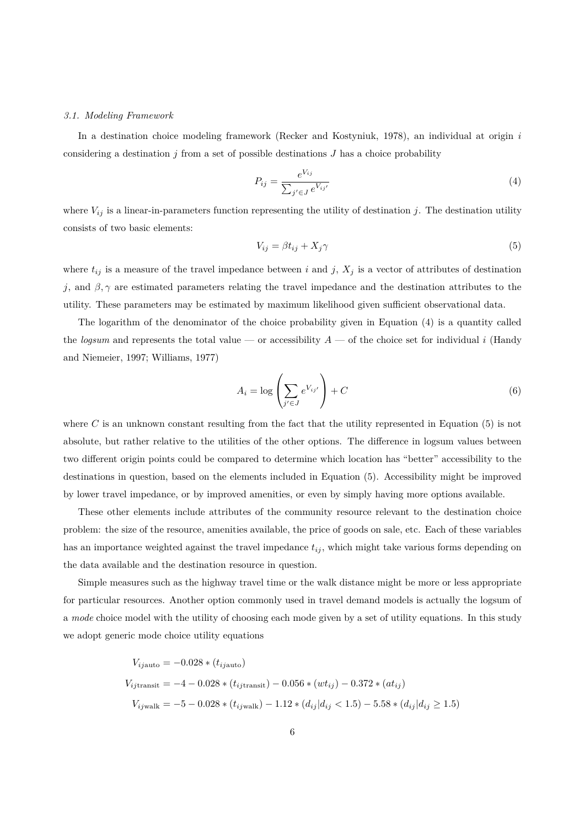#### *3.1. Modeling Framework*

In a destination choice modeling framework (Recker and Kostyniuk, 1978), an individual at origin *i* considering a destination *j* from a set of possible destinations *J* has a choice probability

$$
P_{ij} = \frac{e^{V_{ij}}}{\sum_{j' \in J} e^{V_{ij'}}}
$$
\n(4)

where  $V_{ij}$  is a linear-in-parameters function representing the utility of destination *j*. The destination utility consists of two basic elements:

<span id="page-5-0"></span>
$$
V_{ij} = \beta t_{ij} + X_j \gamma \tag{5}
$$

where  $t_{ij}$  is a measure of the travel impedance between *i* and *j*,  $X_j$  is a vector of attributes of destination *j*, and  $\beta$ ,  $\gamma$  are estimated parameters relating the travel impedance and the destination attributes to the utility. These parameters may be estimated by maximum likelihood given sufficient observational data.

The logarithm of the denominator of the choice probability given in Equation (4) is a quantity called the *logsum* and represents the total value — or accessibility  $A$  — of the choice set for individual *i* (Handy and Niemeier, 1997; Williams, 1977)

$$
A_i = \log \left( \sum_{j' \in J} e^{V_{ij'}} \right) + C \tag{6}
$$

where  $C$  is an unknown constant resulting from the fact that the utility represented in Equation  $(5)$  is not absolute, but rather relative to the utilities of the other options. The difference in logsum values between two different origin points could be compared to determine which location has "better" accessibility to the destinations in question, based on the elements included in Equation (5). Accessibility might be i[m](#page-5-0)proved by lower travel impedance, or by improved amenities, or even by simply having more options available.

These other elements include attributes of the community resource relevant to the destination choice problem: the size of the resource, amenities available, the price of good[s o](#page-5-0)n sale, etc. Each of these variables has an importance weighted against the travel impedance *tij* , which might take various forms depending on the data available and the destination resource in question.

Simple measures such as the highway travel time or the walk distance might be more or less appropriate for particular resources. Another option commonly used in travel demand models is actually the logsum of a *mode* choice model with the utility of choosing each mode given by a set of utility equations. In this study we adopt generic mode choice utility equations

$$
V_{ij\text{auto}} = -0.028 * (t_{ij\text{auto}})
$$
  

$$
V_{ij\text{transit}} = -4 - 0.028 * (t_{ij\text{transit}}) - 0.056 * (wt_{ij}) - 0.372 * (at_{ij})
$$
  

$$
V_{ij\text{walk}} = -5 - 0.028 * (t_{ij\text{walk}}) - 1.12 * (d_{ij}|d_{ij} < 1.5) - 5.58 * (d_{ij}|d_{ij} \ge 1.5)
$$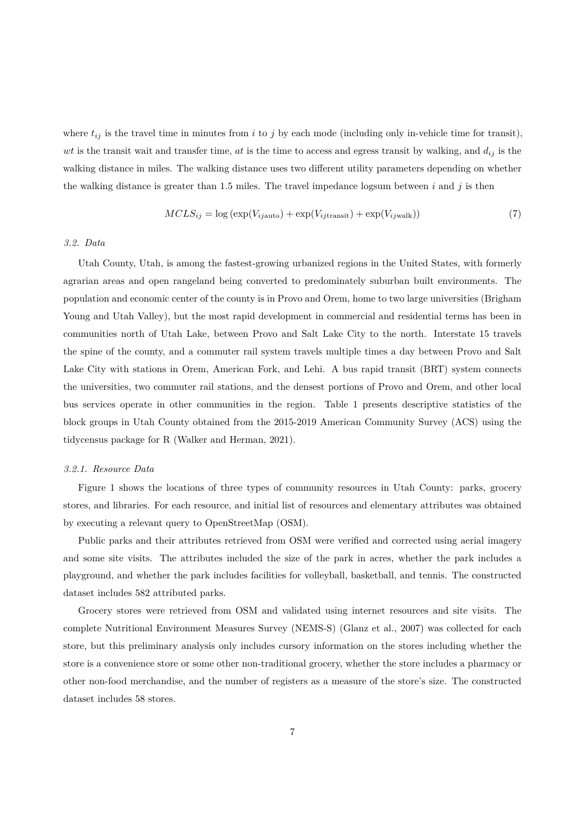where  $t_{ij}$  is the travel time in minutes from *i* to *j* by each mode (including only in-vehicle time for transit), *wt* is the transit wait and transfer time, *at* is the time to access and egress transit by walking, and  $d_{ij}$  is the walking distance in miles. The walking distance uses two different utility parameters depending on whether the walking distance is greater than 1.5 miles. The travel impedance logsum between *i* and *j* is then

<span id="page-6-0"></span>
$$
MCLS_{ij} = \log \left( \exp(V_{ij\text{auto}}) + \exp(V_{ij\text{transit}}) + \exp(V_{ij\text{walk}}) \right) \tag{7}
$$

## *3.2. Data*

Utah County, Utah, is among the fastest-growing urbanized regions in the United States, with formerly agrarian areas and open rangeland being converted to predominately suburban built environments. The population and economic center of the county is in Provo and Orem, home to two large universities (Brigham Young and Utah Valley), but the most rapid development in commercial and residential terms has been in communities north of Utah Lake, between Provo and Salt Lake City to the north. Interstate 15 travels the spine of the county, and a commuter rail system travels multiple times a day between Provo and Salt Lake City with stations in Orem, American Fork, and Lehi. A bus rapid transit (BRT) system connects the universities, two commuter rail stations, and the densest portions of Provo and Orem, and other local bus services operate in other communities in the region. Table 1 presents descriptive statistics of the block groups in Utah County obtained from the 2015-2019 American Community Survey (ACS) using the tidycensus package for R (Walker and Herman, 2021).

## *3.2.1. Resource Data*

Figure 1 shows the lo[cations of three types of c](#page-19-5)ommunity resources in Utah County: parks, grocery stores, and libraries. For each resource, and initial list of resources and elementary attributes was obtained by executing a relevant query to OpenStreetMap (OSM).

Public [pa](#page-8-0)rks and their attributes retrieved from OSM were verified and corrected using aerial imagery and some site visits. The attributes included the size of the park in acres, whether the park includes a playground, and whether the park includes facilities for volleyball, basketball, and tennis. The constructed dataset includes 582 attributed parks.

Grocery stores were retrieved from OSM and validated using internet resources and site visits. The complete Nutritional Environment Measures Survey (NEMS-S) (Glanz et al., 2007) was collected for each store, but this preliminary analysis only includes cursory information on the stores including whether the store is a convenience store or some other non-traditional grocery, whether the store includes a pharmacy or other non-food merchandise, and the number of registers as a m[easure of the store'](#page-17-11)s size. The constructed dataset includes 58 stores.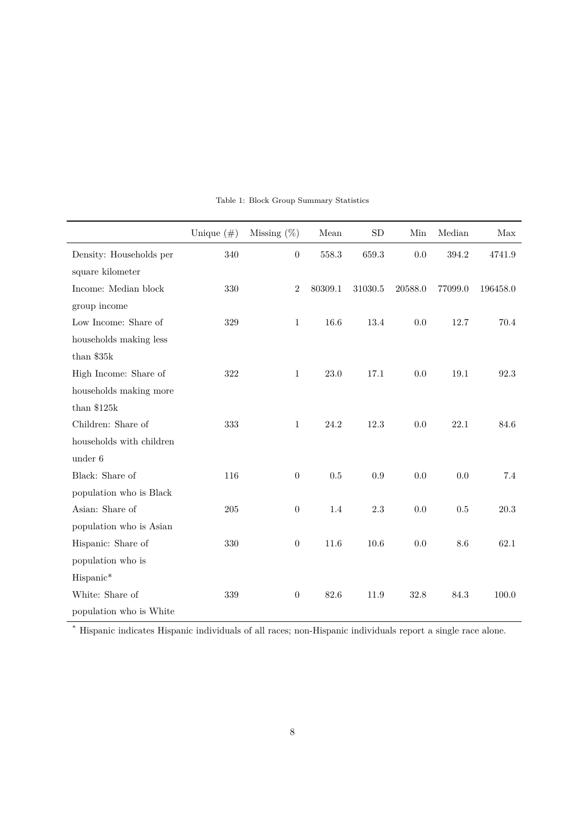|                          | Unique $(\#)$ | Missing $(\%)$   | Mean    | <b>SD</b> | Min     | Median  | Max      |
|--------------------------|---------------|------------------|---------|-----------|---------|---------|----------|
| Density: Households per  | 340           | $\boldsymbol{0}$ | 558.3   | 659.3     | 0.0     | 394.2   | 4741.9   |
| square kilometer         |               |                  |         |           |         |         |          |
| Income: Median block     | 330           | $\overline{2}$   | 80309.1 | 31030.5   | 20588.0 | 77099.0 | 196458.0 |
| group income             |               |                  |         |           |         |         |          |
| Low Income: Share of     | 329           | $\mathbf{1}$     | 16.6    | 13.4      | 0.0     | 12.7    | 70.4     |
| households making less   |               |                  |         |           |         |         |          |
| than $$35k$              |               |                  |         |           |         |         |          |
| High Income: Share of    | 322           | $\mathbf{1}$     | 23.0    | 17.1      | 0.0     | 19.1    | 92.3     |
| households making more   |               |                  |         |           |         |         |          |
| than $$125k$             |               |                  |         |           |         |         |          |
| Children: Share of       | 333           | $\mathbf{1}$     | 24.2    | 12.3      | 0.0     | 22.1    | 84.6     |
| households with children |               |                  |         |           |         |         |          |
| under 6                  |               |                  |         |           |         |         |          |
| Black: Share of          | 116           | $\overline{0}$   | 0.5     | 0.9       | 0.0     | 0.0     | 7.4      |
| population who is Black  |               |                  |         |           |         |         |          |
| Asian: Share of          | 205           | $\boldsymbol{0}$ | 1.4     | 2.3       | 0.0     | $0.5\,$ | 20.3     |
| population who is Asian  |               |                  |         |           |         |         |          |
| Hispanic: Share of       | 330           | $\boldsymbol{0}$ | 11.6    | 10.6      | 0.0     | 8.6     | 62.1     |
| population who is        |               |                  |         |           |         |         |          |
| Hispanic*                |               |                  |         |           |         |         |          |
| White: Share of          | 339           | $\overline{0}$   | 82.6    | 11.9      | 32.8    | 84.3    | 100.0    |
| population who is White  |               |                  |         |           |         |         |          |

Table 1: Block Group Summary Statistics

\* Hispanic indicates Hispanic individuals of all races; non-Hispanic individuals report a single race alone.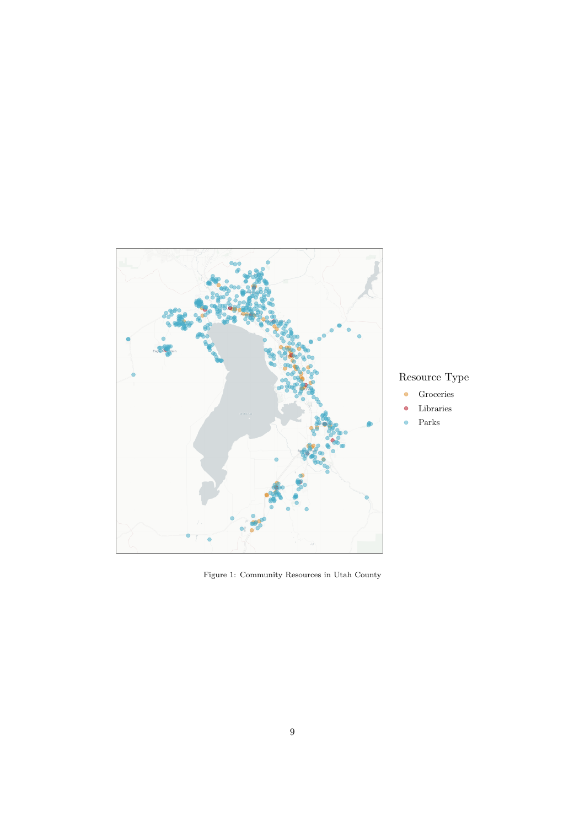

## Resource Type

- Groceries  $\bullet$
- Libraries  $\bullet$
- Parks

<span id="page-8-0"></span>Figure 1: Community Resources in Utah County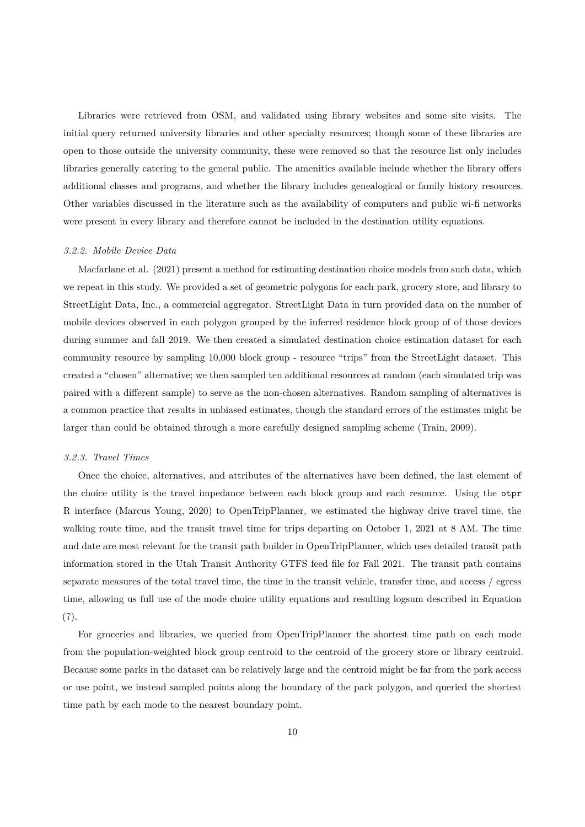Libraries were retrieved from OSM, and validated using library websites and some site visits. The initial query returned university libraries and other specialty resources; though some of these libraries are open to those outside the university community, these were removed so that the resource list only includes libraries generally catering to the general public. The amenities available include whether the library offers additional classes and programs, and whether the library includes genealogical or family history resources. Other variables discussed in the literature such as the availability of computers and public wi-fi networks were present in every library and therefore cannot be included in the destination utility equations.

#### *3.2.2. Mobile Device Data*

Macfarlane et al. (2021) present a method for estimating destination choice models from such data, which we repeat in this study. We provided a set of geometric polygons for each park, grocery store, and library to StreetLight Data, Inc., a commercial aggregator. StreetLight Data in turn provided data on the number of mo[bile devices observed in](#page-18-10) each polygon grouped by the inferred residence block group of of those devices during summer and fall 2019. We then created a simulated destination choice estimation dataset for each community resource by sampling 10,000 block group - resource "trips" from the StreetLight dataset. This created a "chosen" alternative; we then sampled ten additional resources at random (each simulated trip was paired with a different sample) to serve as the non-chosen alternatives. Random sampling of alternatives is a common practice that results in unbiased estimates, though the standard errors of the estimates might be larger than could be obtained through a more carefully designed sampling scheme (Train, 2009).

## *3.2.3. Travel Times*

Once the choice, alternatives, and attributes of the alternatives have been defi[ned, the last](#page-18-11) element of the choice utility is the travel impedance between each block group and each resource. Using the otpr R interface (Marcus Young, 2020) to OpenTripPlanner, we estimated the highway drive travel time, the walking route time, and the transit travel time for trips departing on October 1, 2021 at 8 AM. The time and date are most relevant for the transit path builder in OpenTripPlanner, which uses detailed transit path information [stored in the Utah Tr](#page-18-12)ansit Authority GTFS feed file for Fall 2021. The transit path contains separate measures of the total travel time, the time in the transit vehicle, transfer time, and access / egress time, allowing us full use of the mode choice utility equations and resulting logsum described in Equation (7).

For groceries and libraries, we queried from OpenTripPlanner the shortest time path on each mode from the population-weighted block group centroid to the centroid of the grocery store or library centroid. [Be](#page-6-0)cause some parks in the dataset can be relatively large and the centroid might be far from the park access or use point, we instead sampled points along the boundary of the park polygon, and queried the shortest time path by each mode to the nearest boundary point.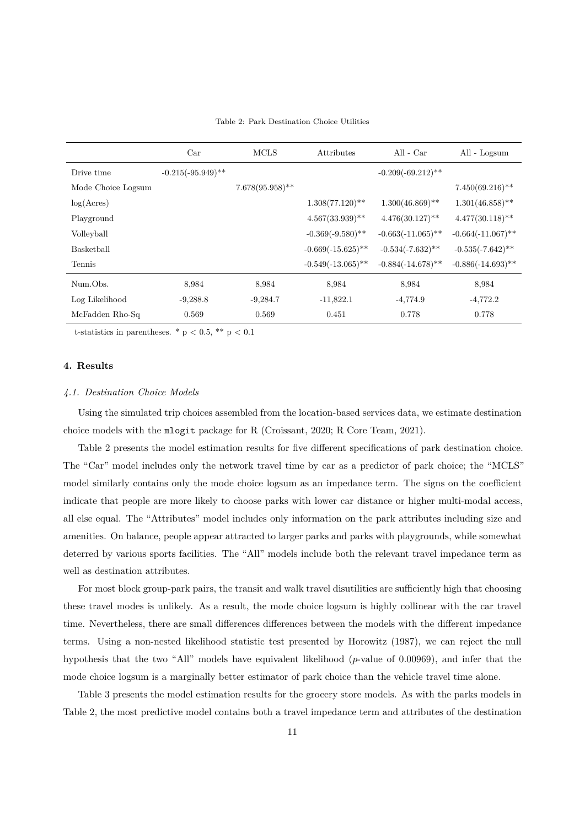#### Table 2: Park Destination Choice Utilities

<span id="page-10-0"></span>

|                    | Car                  | <b>MCLS</b>        | Attributes           | All - $Car$          | All - Logsum                  |
|--------------------|----------------------|--------------------|----------------------|----------------------|-------------------------------|
| Drive time         | $-0.215(-95.949)$ ** |                    |                      | $-0.209(-69.212)$ ** |                               |
| Mode Choice Logsum |                      | $7.678(95.958)$ ** |                      |                      | $7.450(69.216)$ <sup>**</sup> |
| log(Acres)         |                      |                    | $1.308(77.120)$ **   | $1.300(46.869)$ **   | $1.301(46.858)$ **            |
| Playground         |                      |                    | $4.567(33.939)$ **   | $4.476(30.127)$ **   | $4.477(30.118)$ **            |
| Volleyball         |                      |                    | $-0.369(-9.580)$ **  | $-0.663(-11.065)$ ** | $-0.664(-11.067)$ **          |
| Basketball         |                      |                    | $-0.669(-15.625)$ ** | $-0.534(-7.632)$ **  | $-0.535(-7.642)$ **           |
| Tennis             |                      |                    | $-0.549(-13.065)$ ** | $-0.884(-14.678)$ ** | $-0.886(-14.693)$ **          |
| Num.Obs.           | 8.984                | 8.984              | 8,984                | 8,984                | 8,984                         |
| Log Likelihood     | $-9,288.8$           | $-9,284.7$         | $-11,822.1$          | $-4,774.9$           | $-4,772.2$                    |
| McFadden Rho-Sq    | 0.569                | 0.569              | 0.451                | 0.778                | 0.778                         |

t-statistics in parentheses.  $*$  p  $< 0.5$ ,  $**$  p  $< 0.1$ 

## **4. Results**

## *4.1. Destination Choice Models*

Using the simulated trip choices assembled from the location-based services data, we estimate destination choice models with the mlogit package for R (Croissant, 2020; R Core Team, 2021).

Table 2 presents the model estimation results for five different specifications of park destination choice. The "Car" model includes only the network travel time by car as a predictor of park choice; the "MCLS" model similarly contains only the mode choice [logsum as an im](#page-17-12)[pedance term. The](#page-18-13) signs on the coefficient indicate t[ha](#page-10-0)t people are more likely to choose parks with lower car distance or higher multi-modal access, all else equal. The "Attributes" model includes only information on the park attributes including size and amenities. On balance, people appear attracted to larger parks and parks with playgrounds, while somewhat deterred by various sports facilities. The "All" models include both the relevant travel impedance term as well as destination attributes.

For most block group-park pairs, the transit and walk travel disutilities are sufficiently high that choosing these travel modes is unlikely. As a result, the mode choice logsum is highly collinear with the car travel time. Nevertheless, there are small differences differences between the models with the different impedance terms. Using a non-nested likelihood statistic test presented by Horowitz (1987), we can reject the null hypothesis that the two "All" models have equivalent likelihood (*p*-value of 0.00969), and infer that the mode choice logsum is a marginally better estimator of park choice than the vehicle travel time alone.

Table 3 presents the model estimation results for the grocery s[tore mode](#page-17-13)ls[. As](#page-17-13) with the parks models in Table 2, the most predictive model contains both a travel impedance term and attributes of the destination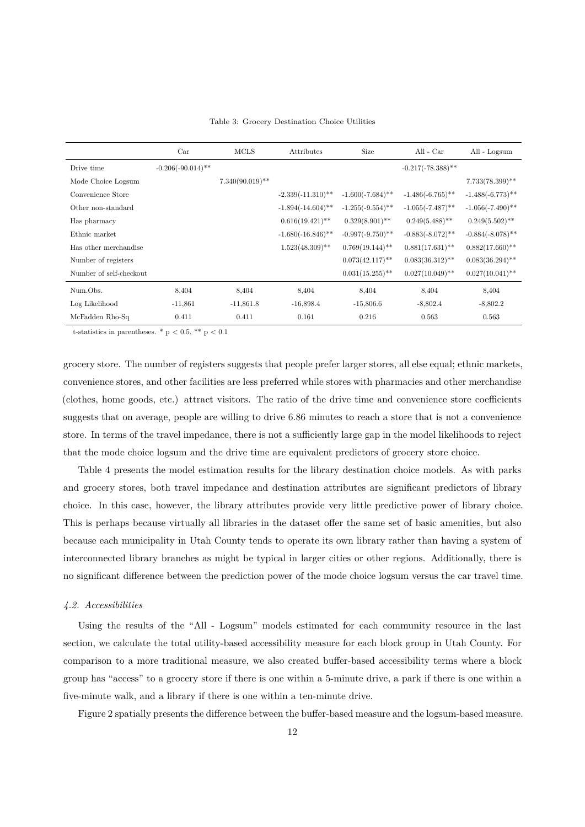|                         | Car                  | <b>MCLS</b>        | Attributes           | <b>Size</b>         | All - $Car$          | All - Logsum        |
|-------------------------|----------------------|--------------------|----------------------|---------------------|----------------------|---------------------|
| Drive time              | $-0.206(-90.014)$ ** |                    |                      |                     | $-0.217(-78.388)$ ** |                     |
| Mode Choice Logsum      |                      | $7.340(90.019)$ ** |                      |                     |                      | $7.733(78.399)$ **  |
| Convenience Store       |                      |                    | $-2.339(-11.310)$ ** | $-1.600(-7.684)$ ** | $-1.486(-6.765)$ **  | $-1.488(-6.773)$ ** |
| Other non-standard      |                      |                    | $-1.894(-14.604)$ ** | $-1.255(-9.554)$ ** | $-1.055(-7.487)$ **  | $-1.056(-7.490)$ ** |
| Has pharmacy            |                      |                    | $0.616(19.421)$ **   | $0.329(8.901)$ **   | $0.249(5.488)$ **    | $0.249(5.502)$ **   |
| Ethnic market           |                      |                    | $-1.680(-16.846)$ ** | $-0.997(-9.750)$ ** | $-0.883(-8.072)$ **  | $-0.884(-8.078)$ ** |
| Has other merchandise   |                      |                    | $1.523(48.309)$ **   | $0.769(19.144)$ **  | $0.881(17.631)$ **   | $0.882(17.660)$ **  |
| Number of registers     |                      |                    |                      | $0.073(42.117)$ **  | $0.083(36.312)$ **   | $0.083(36.294)$ **  |
| Number of self-checkout |                      |                    |                      | $0.031(15.255)$ **  | $0.027(10.049)$ **   | $0.027(10.041)$ **  |
| Num.Obs.                | 8,404                | 8,404              | 8,404                | 8,404               | 8,404                | 8,404               |
| Log Likelihood          | $-11,861$            | $-11,861.8$        | $-16,898.4$          | $-15,806.6$         | $-8,802.4$           | $-8,802.2$          |
| McFadden Rho-Sq         | 0.411                | 0.411              | 0.161                | 0.216               | 0.563                | 0.563               |

t-statistics in parentheses.  $*$  p  $< 0.5$ ,  $**$  p  $< 0.1$ 

grocery store. The number of registers suggests that people prefer larger stores, all else equal; ethnic markets, convenience stores, and other facilities are less preferred while stores with pharmacies and other merchandise (clothes, home goods, etc.) attract visitors. The ratio of the drive time and convenience store coefficients suggests that on average, people are willing to drive 6.86 minutes to reach a store that is not a convenience store. In terms of the travel impedance, there is not a sufficiently large gap in the model likelihoods to reject that the mode choice logsum and the drive time are equivalent predictors of grocery store choice.

Table 4 presents the model estimation results for the library destination choice models. As with parks and grocery stores, both travel impedance and destination attributes are significant predictors of library choice. In this case, however, the library attributes provide very little predictive power of library choice. This is p[erh](#page-12-0)aps because virtually all libraries in the dataset offer the same set of basic amenities, but also because each municipality in Utah County tends to operate its own library rather than having a system of interconnected library branches as might be typical in larger cities or other regions. Additionally, there is no significant difference between the prediction power of the mode choice logsum versus the car travel time.

## *4.2. Accessibilities*

Using the results of the "All - Logsum" models estimated for each community resource in the last section, we calculate the total utility-based accessibility measure for each block group in Utah County. For comparison to a more traditional measure, we also created buffer-based accessibility terms where a block group has "access" to a grocery store if there is one within a 5-minute drive, a park if there is one within a five-minute walk, and a library if there is one within a ten-minute drive.

Figure 2 spatially presents the difference between the buffer-based measure and the logsum-based measure.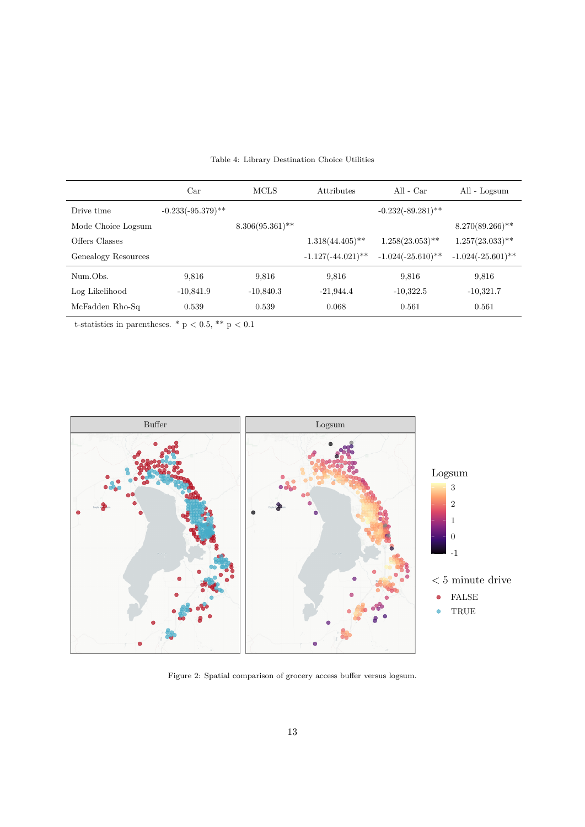<span id="page-12-0"></span>

|                     | Car                  | <b>MCLS</b>        | Attributes           | All - $Car$          | All - Logsum                  |
|---------------------|----------------------|--------------------|----------------------|----------------------|-------------------------------|
| Drive time          | $-0.233(-95.379)$ ** |                    |                      | $-0.232(-89.281)$ ** |                               |
| Mode Choice Logsum  |                      | $8.306(95.361)$ ** |                      |                      | $8.270(89.266)$ <sup>**</sup> |
| Offers Classes      |                      |                    | $1.318(44.405)$ **   | $1.258(23.053)$ **   | $1.257(23.033)$ **            |
| Genealogy Resources |                      |                    | $-1.127(-44.021)$ ** | $-1.024(-25.610)$ ** | $-1.024(-25.601)$ **          |
| Num.Obs.            | 9.816                | 9,816              | 9,816                | 9,816                | 9,816                         |
| Log Likelihood      | $-10,841.9$          | $-10,840.3$        | $-21,944.4$          | $-10,322.5$          | $-10,321.7$                   |
| McFadden Rho-Sq     | 0.539                | 0.539              | 0.068                | 0.561                | 0.561                         |

Table 4: Library Destination Choice Utilities

t-statistics in parentheses. \* p < 0.5, \*\* p < 0.1



Figure 2: Spatial comparison of grocery access buffer versus logsum.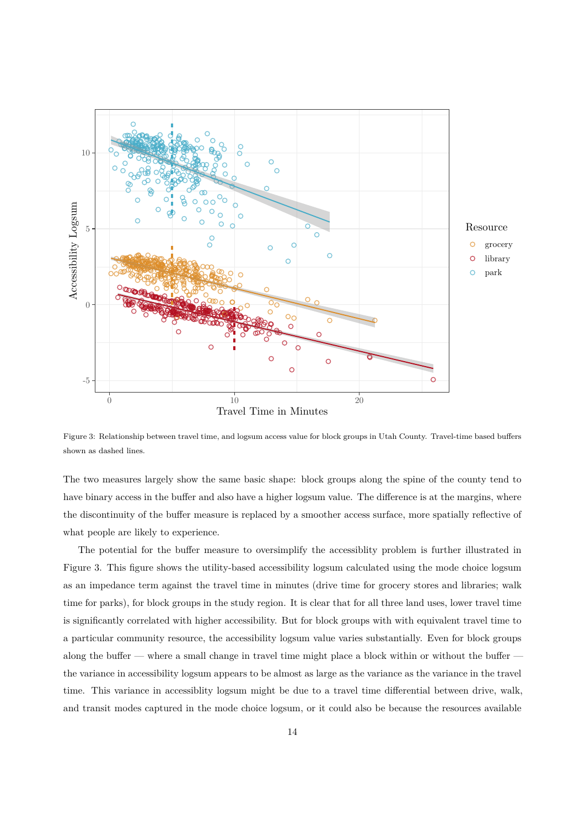

<span id="page-13-0"></span>Figure 3: Relationship between travel time, and logsum access value for block groups in Utah County. Travel-time based buffers shown as dashed lines.

The two measures largely show the same basic shape: block groups along the spine of the county tend to have binary access in the buffer and also have a higher logsum value. The difference is at the margins, where the discontinuity of the buffer measure is replaced by a smoother access surface, more spatially reflective of what people are likely to experience.

The potential for the buffer measure to oversimplify the accessiblity problem is further illustrated in Figure 3. This figure shows the utility-based accessibility logsum calculated using the mode choice logsum as an impedance term against the travel time in minutes (drive time for grocery stores and libraries; walk time for parks), for block groups in the study region. It is clear that for all three land uses, lower travel time is signi[fic](#page-13-0)antly correlated with higher accessibility. But for block groups with with equivalent travel time to a particular community resource, the accessibility logsum value varies substantially. Even for block groups along the buffer — where a small change in travel time might place a block within or without the buffer the variance in accessibility logsum appears to be almost as large as the variance as the variance in the travel time. This variance in accessiblity logsum might be due to a travel time differential between drive, walk, and transit modes captured in the mode choice logsum, or it could also be because the resources available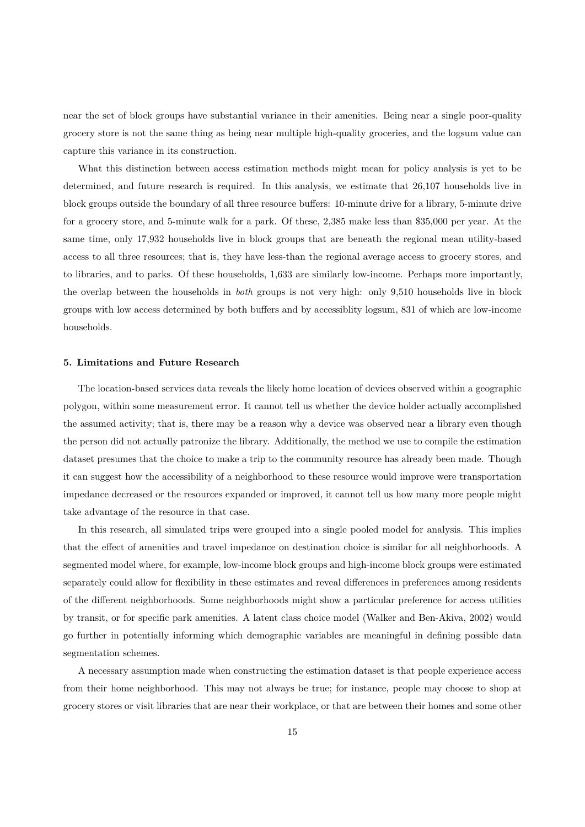near the set of block groups have substantial variance in their amenities. Being near a single poor-quality grocery store is not the same thing as being near multiple high-quality groceries, and the logsum value can capture this variance in its construction.

What this distinction between access estimation methods might mean for policy analysis is yet to be determined, and future research is required. In this analysis, we estimate that 26,107 households live in block groups outside the boundary of all three resource buffers: 10-minute drive for a library, 5-minute drive for a grocery store, and 5-minute walk for a park. Of these, 2,385 make less than \$35,000 per year. At the same time, only 17,932 households live in block groups that are beneath the regional mean utility-based access to all three resources; that is, they have less-than the regional average access to grocery stores, and to libraries, and to parks. Of these households, 1,633 are similarly low-income. Perhaps more importantly, the overlap between the households in *both* groups is not very high: only 9,510 households live in block groups with low access determined by both buffers and by accessiblity logsum, 831 of which are low-income households.

## **5. Limitations and Future Research**

The location-based services data reveals the likely home location of devices observed within a geographic polygon, within some measurement error. It cannot tell us whether the device holder actually accomplished the assumed activity; that is, there may be a reason why a device was observed near a library even though the person did not actually patronize the library. Additionally, the method we use to compile the estimation dataset presumes that the choice to make a trip to the community resource has already been made. Though it can suggest how the accessibility of a neighborhood to these resource would improve were transportation impedance decreased or the resources expanded or improved, it cannot tell us how many more people might take advantage of the resource in that case.

In this research, all simulated trips were grouped into a single pooled model for analysis. This implies that the effect of amenities and travel impedance on destination choice is similar for all neighborhoods. A segmented model where, for example, low-income block groups and high-income block groups were estimated separately could allow for flexibility in these estimates and reveal differences in preferences among residents of the different neighborhoods. Some neighborhoods might show a particular preference for access utilities by transit, or for specific park amenities. A latent class choice model (Walker and Ben-Akiva, 2002) would go further in potentially informing which demographic variables are meaningful in defining possible data segmentation schemes.

A necessary assumption made when constructing the estimation da[taset is that people experience](#page-18-14) access from their home neighborhood. This may not always be true; for instance, people may choose to shop at grocery stores or visit libraries that are near their workplace, or that are between their homes and some other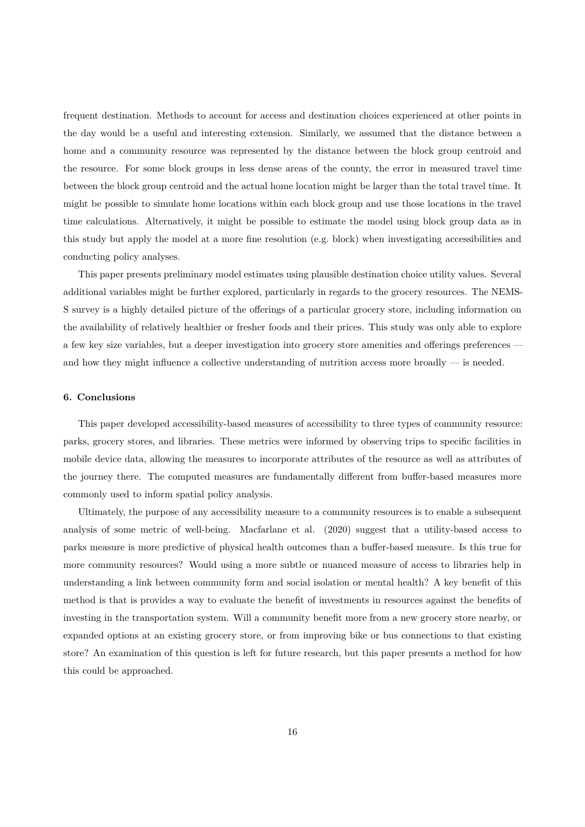frequent destination. Methods to account for access and destination choices experienced at other points in the day would be a useful and interesting extension. Similarly, we assumed that the distance between a home and a community resource was represented by the distance between the block group centroid and the resource. For some block groups in less dense areas of the county, the error in measured travel time between the block group centroid and the actual home location might be larger than the total travel time. It might be possible to simulate home locations within each block group and use those locations in the travel time calculations. Alternatively, it might be possible to estimate the model using block group data as in this study but apply the model at a more fine resolution (e.g. block) when investigating accessibilities and conducting policy analyses.

This paper presents preliminary model estimates using plausible destination choice utility values. Several additional variables might be further explored, particularly in regards to the grocery resources. The NEMS-S survey is a highly detailed picture of the offerings of a particular grocery store, including information on the availability of relatively healthier or fresher foods and their prices. This study was only able to explore a few key size variables, but a deeper investigation into grocery store amenities and offerings preferences and how they might influence a collective understanding of nutrition access more broadly — is needed.

## **6. Conclusions**

This paper developed accessibility-based measures of accessibility to three types of community resource: parks, grocery stores, and libraries. These metrics were informed by observing trips to specific facilities in mobile device data, allowing the measures to incorporate attributes of the resource as well as attributes of the journey there. The computed measures are fundamentally different from buffer-based measures more commonly used to inform spatial policy analysis.

Ultimately, the purpose of any accessibility measure to a community resources is to enable a subsequent analysis of some metric of well-being. Macfarlane et al. (2020) suggest that a utility-based access to parks measure is more predictive of physical health outcomes than a buffer-based measure. Is this true for more community resources? Would using a more subtle or nuanced measure of access to libraries help in understanding a link between communit[y form and social i](#page-17-5)sol[ation](#page-17-5) or mental health? A key benefit of this method is that is provides a way to evaluate the benefit of investments in resources against the benefits of investing in the transportation system. Will a community benefit more from a new grocery store nearby, or expanded options at an existing grocery store, or from improving bike or bus connections to that existing store? An examination of this question is left for future research, but this paper presents a method for how this could be approached.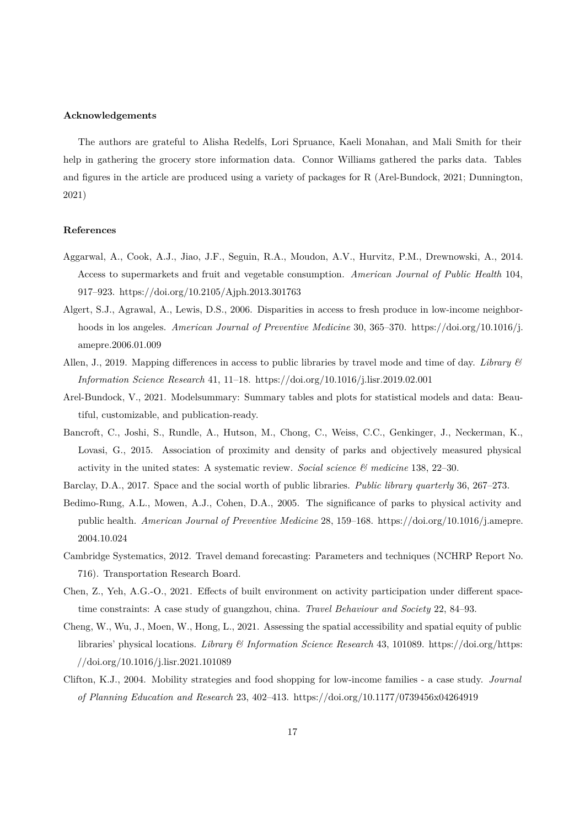#### **Acknowledgements**

The authors are grateful to Alisha Redelfs, Lori Spruance, Kaeli Monahan, and Mali Smith for their help in gathering the grocery store information data. Connor Williams gathered the parks data. Tables and figures in the article are produced using a variety of packages for R (Arel-Bundock, 2021; Dunnington, 2021)

#### **References**

- Aggarwal, A., Cook, A.J., Jiao, J.F., Seguin, R.A., Moudon, A.V., Hurvitz, P.M., Drewnowski, A., 2014. Access to supermarkets and fruit and vegetable consumption. *American Journal of Public Health* 104, 917–923. https://doi.org/10.2105/Ajph.2013.301763
- <span id="page-16-4"></span>Algert, S.J., Agrawal, A., Lewis, D.S., 2006. Disparities in access to fresh produce in low-income neighborhoods in los angeles. *American Journal of Preventive Medicine* 30, 365–370. https://doi.org/10.1016/j. amepre.2[006.01.009](https://doi.org/10.2105/Ajph.2013.301763)
- <span id="page-16-3"></span>Allen, J., 2019. Mapping differences in access to public libraries by travel mode and time of day. *Library & Information Science Research* 41, 11–18. https://doi.org/10.1016/j.lisr.2019.0[2.001](https://doi.org/10.1016/j.amepre.2006.01.009)
- <span id="page-16-8"></span>Ar[el-Bundock, V., 2021](https://doi.org/10.1016/j.amepre.2006.01.009). Modelsummary: Summary tables and plots for statistical models and data: Beautiful, customizable, and publication-ready.
- Bancroft, C., Joshi, S., Rundle, A., Hutson[, M., Chong, C., Weiss, C.C., Genkinger](https://doi.org/10.1016/j.lisr.2019.02.001), J., Neckerman, K., Lovasi, G., 2015. Association of proximity and density of parks and objectively measured physical activity in the united states: A systematic review. *Social science & medicine* 138, 22–30.
- <span id="page-16-2"></span>Barclay, D.A., 2017. Space and the social worth of public libraries. *Public library quarterly* 36, 267–273.
- <span id="page-16-7"></span>Bedimo-Rung, A.L., Mowen, A.J., Cohen, D.A., 2005. The significance of parks to physical activity and public health. *American Journal of Preventive Medicine* 28, 159–168. https://doi.org/10.1016/j.amepre. 2004.10.024
- <span id="page-16-1"></span>Cambridge Systematics, 2012. Travel demand forecasting: Parameters and techniques (NCHRP Report No. 716). Transportation Research Board.
- <span id="page-16-0"></span>Ch[en, Z., Yeh,](https://doi.org/10.1016/j.amepre.2004.10.024) A.G.-O., 2021. Effects of built environment on activity participation under different spacetime constraints: A case study of guangzhou, china. *Travel Behaviour and Society* 22, 84–93.
- <span id="page-16-6"></span>Cheng, W., Wu, J., Moen, W., Hong, L., 2021. Assessing the spatial accessibility and spatial equity of public libraries' physical locations. *Library & Information Science Research* 43, 101089. https://doi.org/https: //doi.org/10.1016/j.lisr.2021.101089
- <span id="page-16-9"></span><span id="page-16-5"></span>Clifton, K.J., 2004. Mobility strategies and food shopping for low-income families - a case study. *Journal of Planning Education and Research* 23, 402–413. https://doi.org/10.1177/0739456x04264919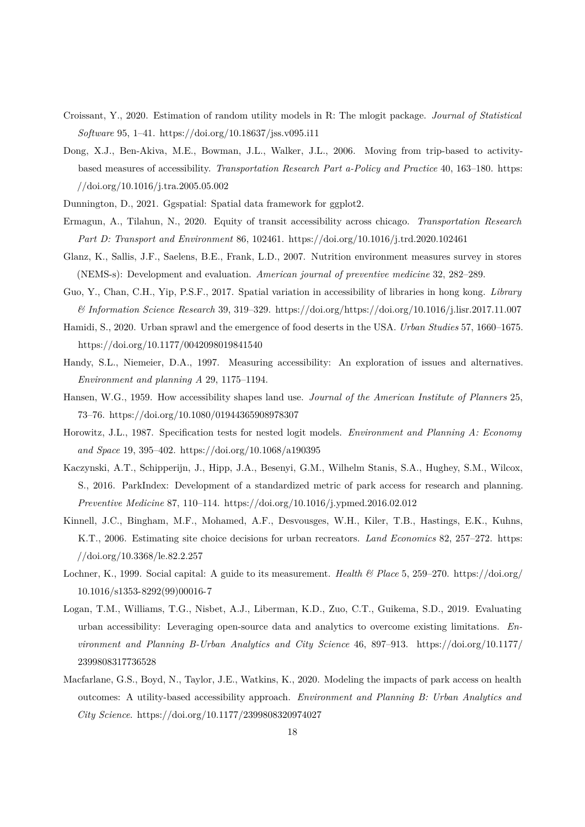- Croissant, Y., 2020. Estimation of random utility models in R: The mlogit package. *Journal of Statistical Software* 95, 1–41. https://doi.org/10.18637/jss.v095.i11
- <span id="page-17-12"></span>Dong, X.J., Ben-Akiva, M.E., Bowman, J.L., Walker, J.L., 2006. Moving from trip-based to activitybased measures of accessibility. *Transportation Research Part a-Policy and Practice* 40, 163–180. https: //doi.org/10.1016/[j.tra.2005.05.002](https://doi.org/10.18637/jss.v095.i11)
- <span id="page-17-4"></span>Dunnington, D., 2021. Ggspatial: Spatial data framework for ggplot2.
- Ermagun, A., Tilahun, N., 2020. Equity of transit accessibility across chicago. *Transportation Re[search](https://doi.org/10.1016/j.tra.2005.05.002) [Part D: Transport and Environmen](https://doi.org/10.1016/j.tra.2005.05.002)t* 86, 102461. https://doi.org/10.1016/j.trd.2020.102461
- <span id="page-17-10"></span>Glanz, K., Sallis, J.F., Saelens, B.E., Frank, L.D., 2007. Nutrition environment measures survey in stores (NEMS-s): Development and evaluation. *American journal of preventive medicine* 32, 282–289.
- <span id="page-17-11"></span>Guo, Y., Chan, C.H., Yip, P.S.F., 2017. Spatial vari[ation in accessibility of libraries in hong k](https://doi.org/10.1016/j.trd.2020.102461)ong. *Library & Information Science Research* 39, 319–329. https://doi.org/https://doi.org/10.1016/j.lisr.2017.11.007
- <span id="page-17-9"></span>Hamidi, S., 2020. Urban sprawl and the emergence of food deserts in the USA. *Urban Studies* 57, 1660–1675. https://doi.org/10.1177/0042098019841540
- <span id="page-17-8"></span>Handy, S.L., Niemeier, D.A., 1997. Measuring accessibility: [An exploration of issues and alternatives.](https://doi.org/10.1016/j.lisr.2017.11.007) *Environment and planning A* 29, 1175–1194.
- <span id="page-17-2"></span>Ha[nsen, W.G., 1959. How accessibility shapes](https://doi.org/10.1177/0042098019841540) land use. *Journal of the American Institute of Planners* 25, 73–76. https://doi.org/10.1080/01944365908978307
- <span id="page-17-1"></span>Horowitz, J.L., 1987. Specification tests for nested logit models. *Environment and Planning A: Economy and Space* 19, 395–402. https://doi.org/10.1068/a190395
- <span id="page-17-13"></span>Kaczynski[, A.T., Schipperijn, J., Hipp, J.A., Besenyi,](https://doi.org/10.1080/01944365908978307) G.M., Wilhelm Stanis, S.A., Hughey, S.M., Wilcox, S., 2016. ParkIndex: Development of a standardized metric of park access for research and planning. *Preventive Medicine* 87, 110–114. [https://doi.org/10.101](https://doi.org/10.1068/a190395)6/j.ypmed.2016.02.012
- <span id="page-17-6"></span>Kinnell, J.C., Bingham, M.F., Mohamed, A.F., Desvousges, W.H., Kiler, T.B., Hastings, E.K., Kuhns, K.T., 2006. Estimating site choice decisions for urban recreators. *Land Economics* 82, 257–272. https: //doi.org/10.3368/le.82.2.257
- <span id="page-17-7"></span>Lochner, K., 1999. Social capital: A guide to its measurement. *Health & Place* 5, 259–270. https://doi.org/ 10.1016/s1353-8292(99)00016-7
- <span id="page-17-0"></span>Lo[gan, T.M., Williams, T.G., N](https://doi.org/10.3368/le.82.2.257)isbet, A.J., Liberman, K.D., Zuo, C.T., Guikema, S.D., 2019. Evaluating urban accessibility: Leveraging open-source data and analytics to overcome existing [limitations.](https://doi.org/10.1016/s1353-8292(99)00016-7) *En[vironment and Planning B-Urb](https://doi.org/10.1016/s1353-8292(99)00016-7)an Analytics and City Science* 46, 897–913. https://doi.org/10.1177/ 2399808317736528
- <span id="page-17-5"></span><span id="page-17-3"></span>Macfarlane, G.S., Boyd, N., Taylor, J.E., Watkins, K., 2020. Modeling the impacts of park access on health outcomes: A utility-based accessibility approach. *Environment and Planning [B: Urban Analytics and](https://doi.org/10.1177/2399808317736528) [City Science](https://doi.org/10.1177/2399808317736528)*. https://doi.org/10.1177/2399808320974027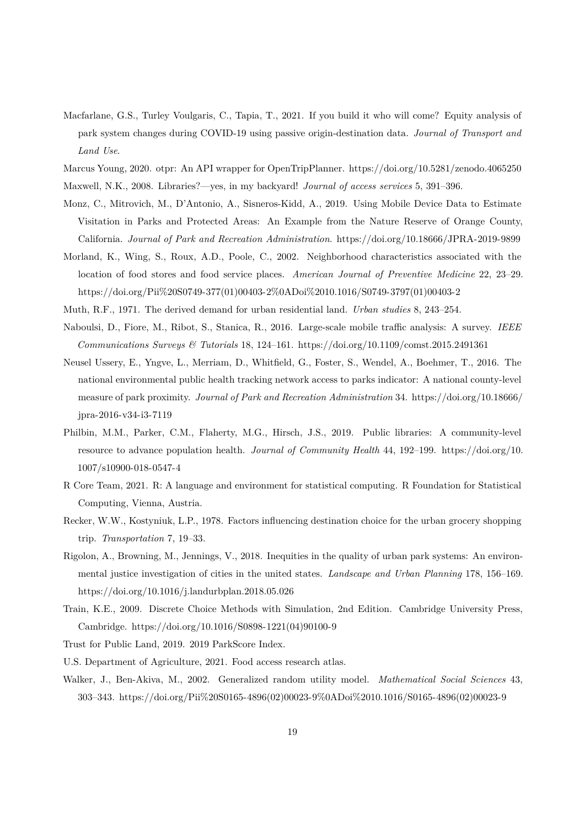- Macfarlane, G.S., Turley Voulgaris, C., Tapia, T., 2021. If you build it who will come? Equity analysis of park system changes during COVID-19 using passive origin-destination data. *Journal of Transport and Land Use*.
- <span id="page-18-10"></span>Marcus Young, 2020. otpr: An API wrapper for OpenTripPlanner. https://doi.org/10.5281/zenodo.4065250
- Maxwell, N.K., 2008. Libraries?—yes, in my backyard! *Journal of access services* 5, 391–396.
- <span id="page-18-12"></span><span id="page-18-8"></span>Monz, C., Mitrovich, M., D'Antonio, A., Sisneros-Kidd, A., 2019. Using Mobile Device Data to Estimate Visitation in Parks and Protected Areas: An Example from [the Nature Reserve of Orange County,](https://doi.org/10.5281/zenodo.4065250) California. *Journal of Park and Recreation Administration*. https://doi.org/10.18666/JPRA-2019-9899
- <span id="page-18-1"></span>Morland, K., Wing, S., Roux, A.D., Poole, C., 2002. Neighborhood characteristics associated with the location of food stores and food service places. *American Journal of Preventive Medicine* 22, 23–29. https://doi.org/Pii%20S0749-377(01)00403-2%0ADoi%2010[.1016/S0749-3797\(01\)00403-2](https://doi.org/10.18666/JPRA-2019-9899)
- <span id="page-18-6"></span>Muth, R.F., 1971. The derived demand for urban residential land. *Urban studies* 8, 243–254.
- Naboulsi, D., Fiore, M., Ribot, S., Stanica, R., 2016. Large-scale mobile traffic analysis: A survey. *IEEE Communications Surveys & Tutorials* 18, 124–161. [https://doi.org/10.1109/comst.2015.24](https://doi.org/Pii%20S0749-377(01)00403-2%0ADoi%2010.1016/S0749-3797(01)00403-2)91361
- <span id="page-18-2"></span><span id="page-18-0"></span>Neusel Ussery, E., Yngve, L., Merriam, D., Whitfield, G., Foster, S., Wendel, A., Boehmer, T., 2016. The national environmental public health tracking network access to parks indicator: A national county-level measure of park proximity. *Journal of Park and Rec[reation Administration](https://doi.org/10.1109/comst.2015.2491361)* 34. https://doi.org/10.18666/ jpra-2016-v34-i3-7119
- <span id="page-18-3"></span>Philbin, M.M., Parker, C.M., Flaherty, M.G., Hirsch, J.S., 2019. Public libraries: A community-level resource to advance population health. *Journal of Community Health* 44, 192–199. [https://doi.org/10.](https://doi.org/10.18666/jpra-2016-v34-i3-7119) [1007/s10900-018-0547](https://doi.org/10.18666/jpra-2016-v34-i3-7119)-4
- <span id="page-18-9"></span>R Core Team, 2021. R: A language and environment for statistical computing. R Foundation for Statistical Computing, Vienna, Austria.
- <span id="page-18-13"></span>Re[cker, W.W., Kostyniuk, L](https://doi.org/10.1007/s10900-018-0547-4).P., 1978. Factors influencing destination choice for the urban grocery shopping trip. *Transportation* 7, 19–33.
- <span id="page-18-7"></span>Rigolon, A., Browning, M., Jennings, V., 2018. Inequities in the quality of urban park systems: An environmental justice investigation of cities in the united states. *Landscape and Urban Planning* 178, 156–169. https://doi.org/10.1016/j.landurbplan.2018.05.026
- <span id="page-18-5"></span>Train, K.E., 2009. Discrete Choice Methods with Simulation, 2nd Edition. Cambridge University Press, Cambridge. https://doi.org/10.1016/S0898-1221(04)90100-9
- <span id="page-18-11"></span>Tr[ust for Public Land, 2019. 2019 ParkScore Index.](https://doi.org/10.1016/j.landurbplan.2018.05.026)
- U.S. Department of Agriculture, 2021. Food access research atlas.
- <span id="page-18-14"></span><span id="page-18-4"></span>Walker, J., Be[n-Akiva, M., 2002. Generalized random utility](https://doi.org/10.1016/S0898-1221(04)90100-9) model. *Mathematical Social Sciences* 43, 303–343. https://doi.org/Pii%20S0165-4896(02)00023-9%0ADoi%2010.1016/S0165-4896(02)00023-9